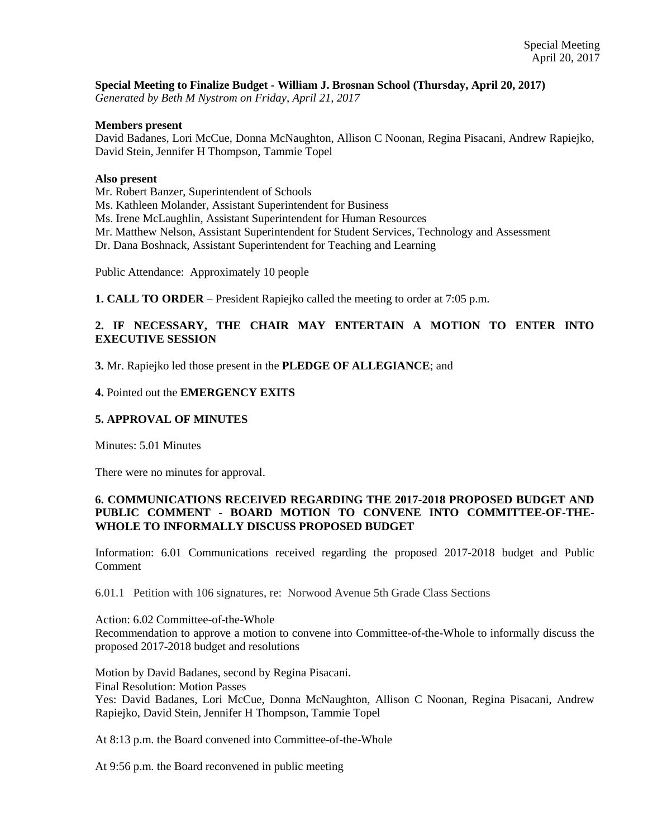# **Special Meeting to Finalize Budget - William J. Brosnan School (Thursday, April 20, 2017)**

*Generated by Beth M Nystrom on Friday, April 21, 2017* 

#### **Members present**

David Badanes, Lori McCue, Donna McNaughton, Allison C Noonan, Regina Pisacani, Andrew Rapiejko, David Stein, Jennifer H Thompson, Tammie Topel

#### **Also present**

Mr. Robert Banzer, Superintendent of Schools Ms. Kathleen Molander, Assistant Superintendent for Business

Ms. Irene McLaughlin, Assistant Superintendent for Human Resources

Mr. Matthew Nelson, Assistant Superintendent for Student Services, Technology and Assessment

Dr. Dana Boshnack, Assistant Superintendent for Teaching and Learning

Public Attendance: Approximately 10 people

**1. CALL TO ORDER** – President Rapiejko called the meeting to order at 7:05 p.m.

# **2. IF NECESSARY, THE CHAIR MAY ENTERTAIN A MOTION TO ENTER INTO EXECUTIVE SESSION**

**3.** Mr. Rapiejko led those present in the **PLEDGE OF ALLEGIANCE**; and

#### **4.** Pointed out the **EMERGENCY EXITS**

## **5. APPROVAL OF MINUTES**

Minutes: 5.01 Minutes

There were no minutes for approval.

## **6. COMMUNICATIONS RECEIVED REGARDING THE 2017-2018 PROPOSED BUDGET AND PUBLIC COMMENT - BOARD MOTION TO CONVENE INTO COMMITTEE-OF-THE-WHOLE TO INFORMALLY DISCUSS PROPOSED BUDGET**

Information: 6.01 Communications received regarding the proposed 2017-2018 budget and Public Comment

6.01.1 Petition with 106 signatures, re: Norwood Avenue 5th Grade Class Sections

Action: 6.02 Committee-of-the-Whole Recommendation to approve a motion to convene into Committee-of-the-Whole to informally discuss the proposed 2017-2018 budget and resolutions

Motion by David Badanes, second by Regina Pisacani. Final Resolution: Motion Passes Yes: David Badanes, Lori McCue, Donna McNaughton, Allison C Noonan, Regina Pisacani, Andrew Rapiejko, David Stein, Jennifer H Thompson, Tammie Topel

At 8:13 p.m. the Board convened into Committee-of-the-Whole

At 9:56 p.m. the Board reconvened in public meeting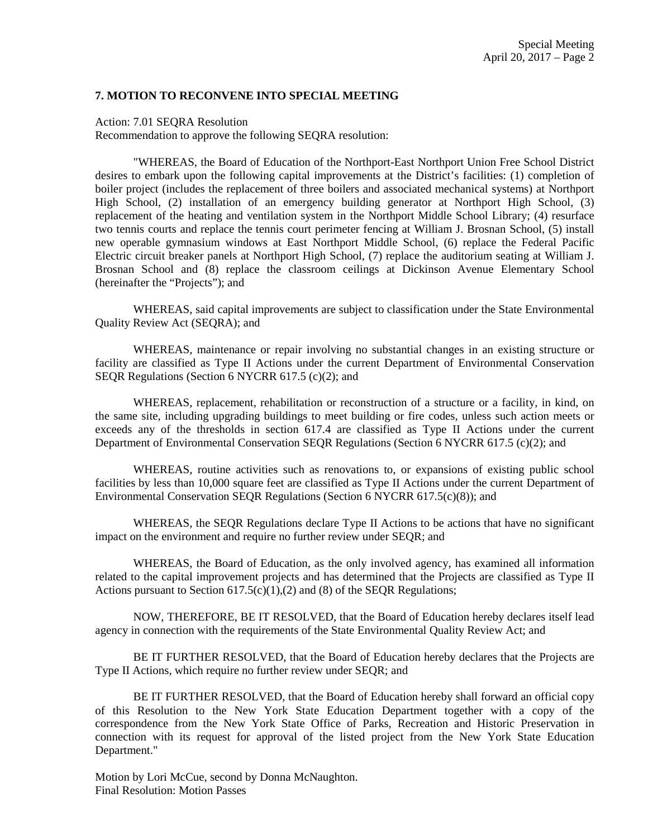#### **7. MOTION TO RECONVENE INTO SPECIAL MEETING**

Action: 7.01 SEQRA Resolution Recommendation to approve the following SEQRA resolution:

"WHEREAS, the Board of Education of the Northport-East Northport Union Free School District desires to embark upon the following capital improvements at the District's facilities: (1) completion of boiler project (includes the replacement of three boilers and associated mechanical systems) at Northport High School, (2) installation of an emergency building generator at Northport High School, (3) replacement of the heating and ventilation system in the Northport Middle School Library; (4) resurface two tennis courts and replace the tennis court perimeter fencing at William J. Brosnan School, (5) install new operable gymnasium windows at East Northport Middle School, (6) replace the Federal Pacific Electric circuit breaker panels at Northport High School, (7) replace the auditorium seating at William J. Brosnan School and (8) replace the classroom ceilings at Dickinson Avenue Elementary School (hereinafter the "Projects"); and

WHEREAS, said capital improvements are subject to classification under the State Environmental Quality Review Act (SEQRA); and

WHEREAS, maintenance or repair involving no substantial changes in an existing structure or facility are classified as Type II Actions under the current Department of Environmental Conservation SEQR Regulations (Section 6 NYCRR 617.5 (c)(2); and

WHEREAS, replacement, rehabilitation or reconstruction of a structure or a facility, in kind, on the same site, including upgrading buildings to meet building or fire codes, unless such action meets or exceeds any of the thresholds in section 617.4 are classified as Type II Actions under the current Department of Environmental Conservation SEQR Regulations (Section 6 NYCRR 617.5 (c)(2); and

WHEREAS, routine activities such as renovations to, or expansions of existing public school facilities by less than 10,000 square feet are classified as Type II Actions under the current Department of Environmental Conservation SEQR Regulations (Section 6 NYCRR 617.5(c)(8)); and

WHEREAS, the SEQR Regulations declare Type II Actions to be actions that have no significant impact on the environment and require no further review under SEQR; and

WHEREAS, the Board of Education, as the only involved agency, has examined all information related to the capital improvement projects and has determined that the Projects are classified as Type II Actions pursuant to Section  $617.5(c)(1),(2)$  and  $(8)$  of the SEQR Regulations;

NOW, THEREFORE, BE IT RESOLVED, that the Board of Education hereby declares itself lead agency in connection with the requirements of the State Environmental Quality Review Act; and

BE IT FURTHER RESOLVED, that the Board of Education hereby declares that the Projects are Type II Actions, which require no further review under SEQR; and

BE IT FURTHER RESOLVED, that the Board of Education hereby shall forward an official copy of this Resolution to the New York State Education Department together with a copy of the correspondence from the New York State Office of Parks, Recreation and Historic Preservation in connection with its request for approval of the listed project from the New York State Education Department."

Motion by Lori McCue, second by Donna McNaughton. Final Resolution: Motion Passes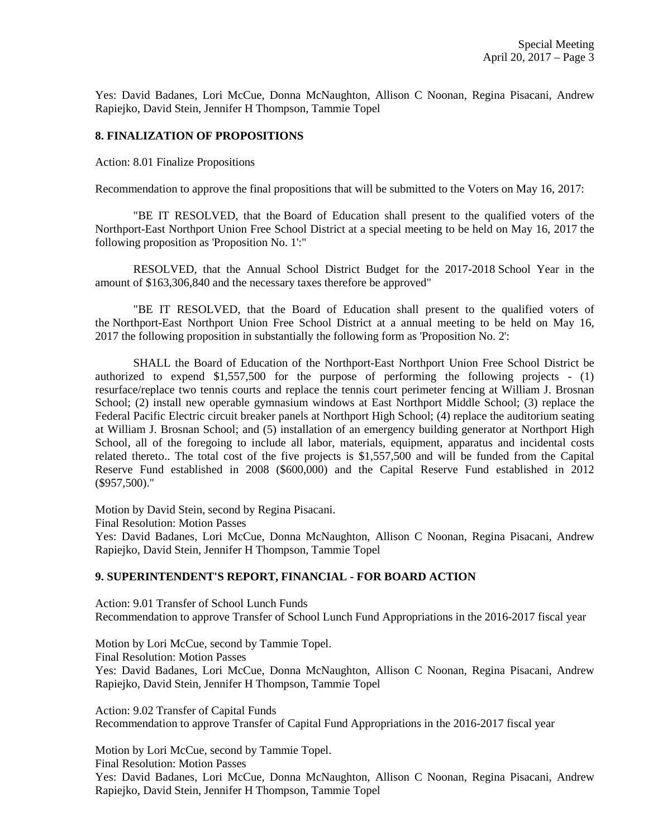Yes: David Badanes, Lori McCue, Donna McNaughton, Allison C Noonan, Regina Pisacani, Andrew Rapiejko, David Stein, Jennifer H Thompson, Tammie Topel

### **8. FINALIZATION OF PROPOSITIONS**

Action: 8.01 Finalize Propositions

Recommendation to approve the final propositions that will be submitted to the Voters on May 16, 2017:

"BE IT RESOLVED, that the Board of Education shall present to the qualified voters of the Northport-East Northport Union Free School District at a special meeting to be held on May 16, 2017 the following proposition as 'Proposition No. 1':"

RESOLVED, that the Annual School District Budget for the 2017-2018 School Year in the amount of \$163,306,840 and the necessary taxes therefore be approved"

"BE IT RESOLVED, that the Board of Education shall present to the qualified voters of the Northport-East Northport Union Free School District at a annual meeting to be held on May 16, 2017 the following proposition in substantially the following form as 'Proposition No. 2':

SHALL the Board of Education of the Northport-East Northport Union Free School District be authorized to expend \$1,557,500 for the purpose of performing the following projects - (1) resurface/replace two tennis courts and replace the tennis court perimeter fencing at William J. Brosnan School; (2) install new operable gymnasium windows at East Northport Middle School; (3) replace the Federal Pacific Electric circuit breaker panels at Northport High School; (4) replace the auditorium seating at William J. Brosnan School; and (5) installation of an emergency building generator at Northport High School, all of the foregoing to include all labor, materials, equipment, apparatus and incidental costs related thereto.. The total cost of the five projects is \$1,557,500 and will be funded from the Capital Reserve Fund established in 2008 (\$600,000) and the Capital Reserve Fund established in 2012 (\$957,500)."

Motion by David Stein, second by Regina Pisacani.

Final Resolution: Motion Passes

Yes: David Badanes, Lori McCue, Donna McNaughton, Allison C Noonan, Regina Pisacani, Andrew Rapiejko, David Stein, Jennifer H Thompson, Tammie Topel

## **9. SUPERINTENDENT'S REPORT, FINANCIAL - FOR BOARD ACTION**

Action: 9.01 Transfer of School Lunch Funds Recommendation to approve Transfer of School Lunch Fund Appropriations in the 2016-2017 fiscal year

Motion by Lori McCue, second by Tammie Topel. Final Resolution: Motion Passes Yes: David Badanes, Lori McCue, Donna McNaughton, Allison C Noonan, Regina Pisacani, Andrew Rapiejko, David Stein, Jennifer H Thompson, Tammie Topel

Action: 9.02 Transfer of Capital Funds Recommendation to approve Transfer of Capital Fund Appropriations in the 2016-2017 fiscal year

Motion by Lori McCue, second by Tammie Topel. Final Resolution: Motion Passes Yes: David Badanes, Lori McCue, Donna McNaughton, Allison C Noonan, Regina Pisacani, Andrew Rapiejko, David Stein, Jennifer H Thompson, Tammie Topel